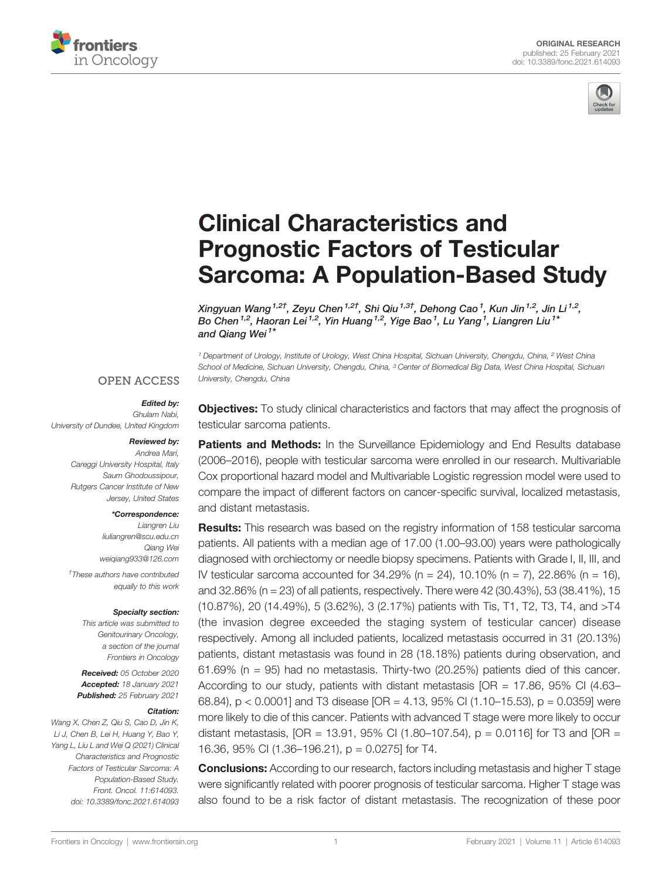



# [Clinical Characteristics and](https://www.frontiersin.org/articles/10.3389/fonc.2021.614093/full) [Prognostic Factors of Testicular](https://www.frontiersin.org/articles/10.3389/fonc.2021.614093/full) [Sarcoma: A Population-Based Study](https://www.frontiersin.org/articles/10.3389/fonc.2021.614093/full)

Xingyuan Wang<sup>1,2†</sup>, Zeyu Chen<sup>1,2†</sup>, Shi Qiu<sup>1,3†</sup>, Dehong Cao<sup>1</sup>, Kun Jin<sup>1,2</sup>, Jin Li<sup>1,2</sup>, Bo Chen<sup>1,2</sup>, Haoran Lei<sup>1,2</sup>, Yin Huang<sup>1,2</sup>, Yige Bao<sup>1</sup>, Lu Yang<sup>1</sup>, Liangren Liu<sup>1\*</sup> and Qiang Wei<sup>1\*</sup>

<sup>1</sup> Department of Urology, Institute of Urology, West China Hospital, Sichuan University, Chengdu, China, <sup>2</sup> West China School of Medicine, Sichuan University, Chengdu, China, <sup>3</sup> Center of Biomedical Big Data, West China Hospital, Sichuan University, Chengdu, China

### **OPEN ACCESS**

#### Edited by:

Ghulam Nabi, University of Dundee, United Kingdom

#### Reviewed by:

Andrea Mari, Careggi University Hospital, Italy Saum Ghodoussipour, Rutgers Cancer Institute of New Jersey, United States

#### \*Correspondence:

Liangren Liu [liuliangren@scu.edu.cn](mailto:liuliangren@scu.edu.cn) Qiang Wei [weiqiang933@126.com](mailto:weiqiang933@126.com)

† These authors have contributed equally to this work

#### Specialty section:

This article was submitted to Genitourinary Oncology, a section of the journal Frontiers in Oncology

Received: 05 October 2020 Accepted: 18 January 2021 Published: 25 February 2021

#### Citation:

Wang X, Chen Z, Qiu S, Cao D, Jin K, Li J, Chen B, Lei H, Huang Y, Bao Y, Yang L, Liu L and Wei Q (2021) Clinical Characteristics and Prognostic Factors of Testicular Sarcoma: A Population-Based Study. Front. Oncol. 11:614093. [doi: 10.3389/fonc.2021.614093](https://doi.org/10.3389/fonc.2021.614093) **Objectives:** To study clinical characteristics and factors that may affect the prognosis of testicular sarcoma patients.

Patients and Methods: In the Surveillance Epidemiology and End Results database (2006–2016), people with testicular sarcoma were enrolled in our research. Multivariable Cox proportional hazard model and Multivariable Logistic regression model were used to compare the impact of different factors on cancer-specific survival, localized metastasis, and distant metastasis.

Results: This research was based on the registry information of 158 testicular sarcoma patients. All patients with a median age of 17.00 (1.00–93.00) years were pathologically diagnosed with orchiectomy or needle biopsy specimens. Patients with Grade I, II, III, and IV testicular sarcoma accounted for  $34.29\%$  (n = 24),  $10.10\%$  (n = 7),  $22.86\%$  (n = 16), and 32.86% (n = 23) of all patients, respectively. There were 42 (30.43%), 53 (38.41%), 15 (10.87%), 20 (14.49%), 5 (3.62%), 3 (2.17%) patients with Tis, T1, T2, T3, T4, and >T4 (the invasion degree exceeded the staging system of testicular cancer) disease respectively. Among all included patients, localized metastasis occurred in 31 (20.13%) patients, distant metastasis was found in 28 (18.18%) patients during observation, and  $61.69\%$  (n = 95) had no metastasis. Thirty-two (20.25%) patients died of this cancer. According to our study, patients with distant metastasis  $[OR = 17.86, 95\% \text{ Cl } (4.63-$ 68.84), p < 0.0001] and T3 disease  $[OR = 4.13, 95\% \text{ Cl } (1.10-15.53), p = 0.0359]$  were more likely to die of this cancer. Patients with advanced T stage were more likely to occur distant metastasis,  $[OR = 13.91, 95\% \text{ Cl } (1.80-107.54), p = 0.0116]$  for T3 and  $[OR =$ 16.36, 95% CI (1.36–196.21), p = 0.0275] for T4.

Conclusions: According to our research, factors including metastasis and higher T stage were significantly related with poorer prognosis of testicular sarcoma. Higher T stage was also found to be a risk factor of distant metastasis. The recognization of these poor

[Frontiers in Oncology](https://www.frontiersin.org/journals/oncology) | [www.frontiersin.org](http://www.frontiersin.org/) 1 1 Technology | www.frontiersin.org 1 | Volume 11 | Article 614093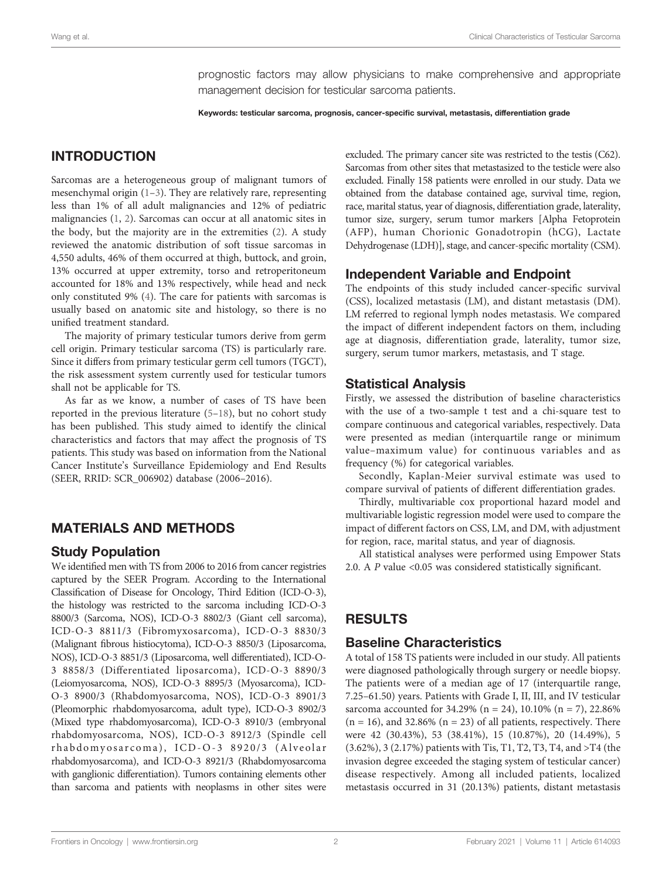prognostic factors may allow physicians to make comprehensive and appropriate management decision for testicular sarcoma patients.

Keywords: testicular sarcoma, prognosis, cancer-specific survival, metastasis, differentiation grade

# INTRODUCTION

Sarcomas are a heterogeneous group of malignant tumors of mesenchymal origin [\(1](#page-5-0)–[3](#page-5-0)). They are relatively rare, representing less than 1% of all adult malignancies and 12% of pediatric malignancies ([1](#page-5-0), [2](#page-5-0)). Sarcomas can occur at all anatomic sites in the body, but the majority are in the extremities ([2](#page-5-0)). A study reviewed the anatomic distribution of soft tissue sarcomas in 4,550 adults, 46% of them occurred at thigh, buttock, and groin, 13% occurred at upper extremity, torso and retroperitoneum accounted for 18% and 13% respectively, while head and neck only constituted 9% [\(4](#page-5-0)). The care for patients with sarcomas is usually based on anatomic site and histology, so there is no unified treatment standard.

The majority of primary testicular tumors derive from germ cell origin. Primary testicular sarcoma (TS) is particularly rare. Since it differs from primary testicular germ cell tumors (TGCT), the risk assessment system currently used for testicular tumors shall not be applicable for TS.

As far as we know, a number of cases of TS have been reported in the previous literature [\(5](#page-5-0)–[18\)](#page-6-0), but no cohort study has been published. This study aimed to identify the clinical characteristics and factors that may affect the prognosis of TS patients. This study was based on information from the National Cancer Institute's Surveillance Epidemiology and End Results (SEER, RRID: SCR\_006902) database (2006–2016).

# MATERIALS AND METHODS

### Study Population

We identified men with TS from 2006 to 2016 from cancer registries captured by the SEER Program. According to the International Classification of Disease for Oncology, Third Edition (ICD-O-3), the histology was restricted to the sarcoma including ICD-O-3 8800/3 (Sarcoma, NOS), ICD-O-3 8802/3 (Giant cell sarcoma), ICD-O-3 8811/3 (Fibromyxosarcoma), ICD-O-3 8830/3 (Malignant fibrous histiocytoma), ICD-O-3 8850/3 (Liposarcoma, NOS), ICD-O-3 8851/3 (Liposarcoma, well differentiated), ICD-O-3 8858/3 (Differentiated liposarcoma), ICD-O-3 8890/3 (Leiomyosarcoma, NOS), ICD-O-3 8895/3 (Myosarcoma), ICD-O-3 8900/3 (Rhabdomyosarcoma, NOS), ICD-O-3 8901/3 (Pleomorphic rhabdomyosarcoma, adult type), ICD-O-3 8902/3 (Mixed type rhabdomyosarcoma), ICD-O-3 8910/3 (embryonal rhabdomyosarcoma, NOS), ICD-O-3 8912/3 (Spindle cell rhabdomyosarcoma), ICD-O-3 8920/3 (Alveolar rhabdomyosarcoma), and ICD-O-3 8921/3 (Rhabdomyosarcoma with ganglionic differentiation). Tumors containing elements other than sarcoma and patients with neoplasms in other sites were excluded. The primary cancer site was restricted to the testis (C62). Sarcomas from other sites that metastasized to the testicle were also excluded. Finally 158 patients were enrolled in our study. Data we obtained from the database contained age, survival time, region, race, marital status, year of diagnosis, differentiation grade, laterality, tumor size, surgery, serum tumor markers [Alpha Fetoprotein (AFP), human Chorionic Gonadotropin (hCG), Lactate Dehydrogenase (LDH)], stage, and cancer-specific mortality (CSM).

# Independent Variable and Endpoint

The endpoints of this study included cancer-specific survival (CSS), localized metastasis (LM), and distant metastasis (DM). LM referred to regional lymph nodes metastasis. We compared the impact of different independent factors on them, including age at diagnosis, differentiation grade, laterality, tumor size, surgery, serum tumor markers, metastasis, and T stage.

### Statistical Analysis

Firstly, we assessed the distribution of baseline characteristics with the use of a two-sample t test and a chi-square test to compare continuous and categorical variables, respectively. Data were presented as median (interquartile range or minimum value–maximum value) for continuous variables and as frequency (%) for categorical variables.

Secondly, Kaplan-Meier survival estimate was used to compare survival of patients of different differentiation grades.

Thirdly, multivariable cox proportional hazard model and multivariable logistic regression model were used to compare the impact of different factors on CSS, LM, and DM, with adjustment for region, race, marital status, and year of diagnosis.

All statistical analyses were performed using Empower Stats 2.0. A P value <0.05 was considered statistically significant.

# RESULTS

# Baseline Characteristics

A total of 158 TS patients were included in our study. All patients were diagnosed pathologically through surgery or needle biopsy. The patients were of a median age of 17 (interquartile range, 7.25–61.50) years. Patients with Grade I, II, III, and IV testicular sarcoma accounted for 34.29% (n = 24), 10.10% (n = 7), 22.86%  $(n = 16)$ , and 32.86%  $(n = 23)$  of all patients, respectively. There were 42 (30.43%), 53 (38.41%), 15 (10.87%), 20 (14.49%), 5 (3.62%), 3 (2.17%) patients with Tis, T1, T2, T3, T4, and >T4 (the invasion degree exceeded the staging system of testicular cancer) disease respectively. Among all included patients, localized metastasis occurred in 31 (20.13%) patients, distant metastasis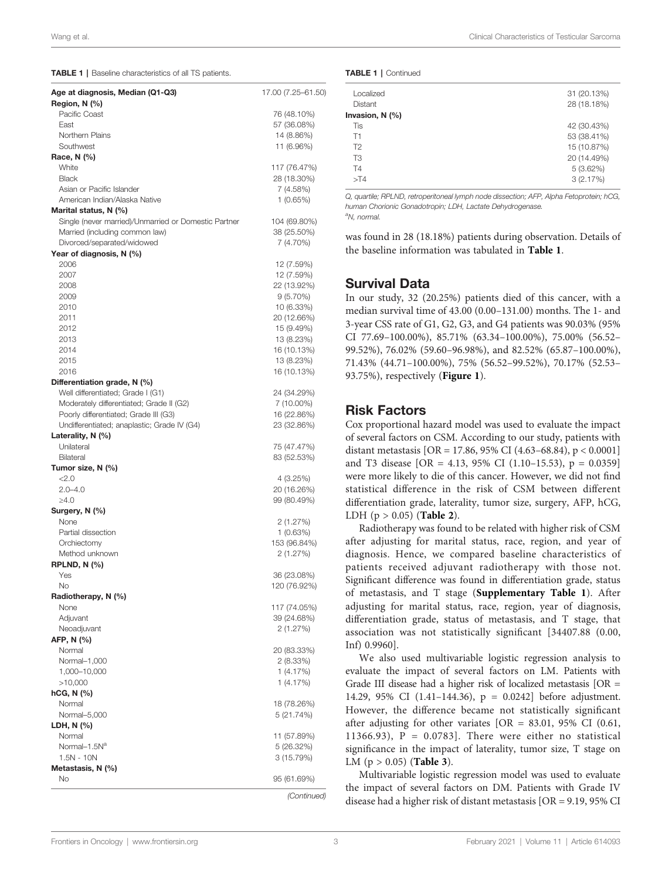TABLE 1 | Baseline characteristics of all TS patients.

| Age at diagnosis, Median (Q1-Q3)<br>Region, N (%)    | 17.00 (7.25-61.50) |
|------------------------------------------------------|--------------------|
| Pacific Coast                                        | 76 (48.10%)        |
| East                                                 | 57 (36.08%)        |
| Northern Plains                                      | 14 (8.86%)         |
| Southwest                                            |                    |
|                                                      | 11 (6.96%)         |
| Race, N (%)                                          |                    |
| White                                                | 117 (76.47%)       |
| <b>Black</b>                                         | 28 (18.30%)        |
| Asian or Pacific Islander                            | 7 (4.58%)          |
| American Indian/Alaska Native                        | 1 (0.65%)          |
| Marital status, N (%)                                |                    |
| Single (never married)/Unmarried or Domestic Partner | 104 (69.80%)       |
| Married (including common law)                       | 38 (25.50%)        |
| Divorced/separated/widowed                           | 7 (4.70%)          |
| Year of diagnosis, N (%)                             |                    |
| 2006                                                 | 12 (7.59%)         |
| 2007                                                 | 12 (7.59%)         |
| 2008                                                 | 22 (13.92%)        |
| 2009                                                 | $9(5.70\%)$        |
|                                                      |                    |
| 2010                                                 | 10 (6.33%)         |
| 2011                                                 | 20 (12.66%)        |
| 2012                                                 | 15 (9.49%)         |
| 2013                                                 | 13 (8.23%)         |
| 2014                                                 | 16 (10.13%)        |
| 2015                                                 | 13 (8.23%)         |
| 2016                                                 | 16 (10.13%)        |
| Differentiation grade, N (%)                         |                    |
| Well differentiated; Grade I (G1)                    | 24 (34.29%)        |
| Moderately differentiated; Grade II (G2)             | 7 (10.00%)         |
| Poorly differentiated; Grade III (G3)                | 16 (22.86%)        |
| Undifferentiated; anaplastic; Grade IV (G4)          | 23 (32.86%)        |
| Laterality, $N$ (%)                                  |                    |
| Unilateral                                           | 75 (47.47%)        |
| Bilateral                                            | 83 (52.53%)        |
| Tumor size, N (%)                                    |                    |
|                                                      |                    |
| 22.0                                                 | 4(3.25%)           |
| $2.0 - 4.0$                                          | 20 (16.26%)        |
| $\geq 4.0$                                           | 99 (80.49%)        |
| Surgery, N (%)                                       |                    |
| None                                                 | 2 (1.27%)          |
| Partial dissection                                   | $1(0.63\%)$        |
| Orchiectomy                                          | 153 (96.84%)       |
| Method unknown                                       | 2 (1.27%)          |
| <b>RPLND, N (%)</b>                                  |                    |
| Yes                                                  | 36 (23.08%)        |
| No                                                   | 120 (76.92%)       |
| Radiotherapy, N (%)                                  |                    |
| None                                                 | 117 (74.05%)       |
| Adjuvant                                             | 39 (24.68%)        |
| Neoadjuvant                                          | 2 (1.27%)          |
|                                                      |                    |
| AFP, N (%)                                           |                    |
| Normal                                               | 20 (83.33%)        |
| Normal-1,000                                         | 2 (8.33%)          |
| 1,000-10,000                                         | 1 (4.17%)          |
| >10,000                                              | 1 (4.17%)          |
| hCG, N (%)                                           |                    |
| Normal                                               | 18 (78.26%)        |
| Normal-5,000                                         | 5 (21.74%)         |
| LDH, N (%)                                           |                    |
| Normal                                               | 11 (57.89%)        |
| Normal-1.5N <sup>a</sup>                             | 5 (26.32%)         |
| $1.5N - 10N$                                         | 3(15.79%)          |
| Metastasis, N (%)                                    |                    |
| No                                                   | 95 (61.69%)        |
|                                                      |                    |
|                                                      | (Continued)        |
|                                                      |                    |

| <b>TABLE 1   Continued</b> |  |  |  |
|----------------------------|--|--|--|
|----------------------------|--|--|--|

| Localized            | 31 (20.13%) |
|----------------------|-------------|
| <b>Distant</b>       | 28 (18.18%) |
| Invasion, $N$ $(\%)$ |             |
| Tis                  | 42 (30.43%) |
| T1                   | 53 (38.41%) |
| T2                   | 15 (10.87%) |
| T <sub>3</sub>       | 20 (14.49%) |
| T4                   | 5(3.62%)    |
| $>$ T4               | 3(2.17%)    |
|                      |             |

Q, quartile; RPLND, retroperitoneal lymph node dissection; AFP, Alpha Fetoprotein; hCG, human Chorionic Gonadotropin; LDH, Lactate Dehydrogenase. a N, normal.

was found in 28 (18.18%) patients during observation. Details of the baseline information was tabulated in Table 1.

#### Survival Data

In our study, 32 (20.25%) patients died of this cancer, with a median survival time of 43.00 (0.00–131.00) months. The 1- and 3-year CSS rate of G1, G2, G3, and G4 patients was 90.03% (95% CI 77.69–100.00%), 85.71% (63.34–100.00%), 75.00% (56.52– 99.52%), 76.02% (59.60–96.98%), and 82.52% (65.87–100.00%), 71.43% (44.71–100.00%), 75% (56.52–99.52%), 70.17% (52.53– 93.75%), respectively ([Figure 1](#page-3-0)).

### Risk Factors

Cox proportional hazard model was used to evaluate the impact of several factors on CSM. According to our study, patients with distant metastasis [OR = 17.86, 95% CI (4.63–68.84), p < 0.0001] and T3 disease  $[OR = 4.13, 95\% \text{ CI } (1.10-15.53), p = 0.0359]$ were more likely to die of this cancer. However, we did not find statistical difference in the risk of CSM between different differentiation grade, laterality, tumor size, surgery, AFP, hCG, LDH  $(p > 0.05)$  ([Table 2](#page-4-0)).

Radiotherapy was found to be related with higher risk of CSM after adjusting for marital status, race, region, and year of diagnosis. Hence, we compared baseline characteristics of patients received adjuvant radiotherapy with those not. Significant difference was found in differentiation grade, status of metastasis, and T stage ([Supplementary Table 1](#page-5-0)). After adjusting for marital status, race, region, year of diagnosis, differentiation grade, status of metastasis, and T stage, that association was not statistically significant [34407.88 (0.00, Inf) 0.9960].

We also used multivariable logistic regression analysis to evaluate the impact of several factors on LM. Patients with Grade III disease had a higher risk of localized metastasis [OR = 14.29, 95% CI (1.41–144.36), p = 0.0242] before adjustment. However, the difference became not statistically significant after adjusting for other variates  $[OR = 83.01, 95\% \text{ CI } (0.61,$ 11366.93),  $P = 0.0783$ . There were either no statistical significance in the impact of laterality, tumor size, T stage on LM ( $p > 0.05$ ) ([Table 3](#page-4-0)).

Multivariable logistic regression model was used to evaluate the impact of several factors on DM. Patients with Grade IV disease had a higher risk of distant metastasis [OR = 9.19, 95% CI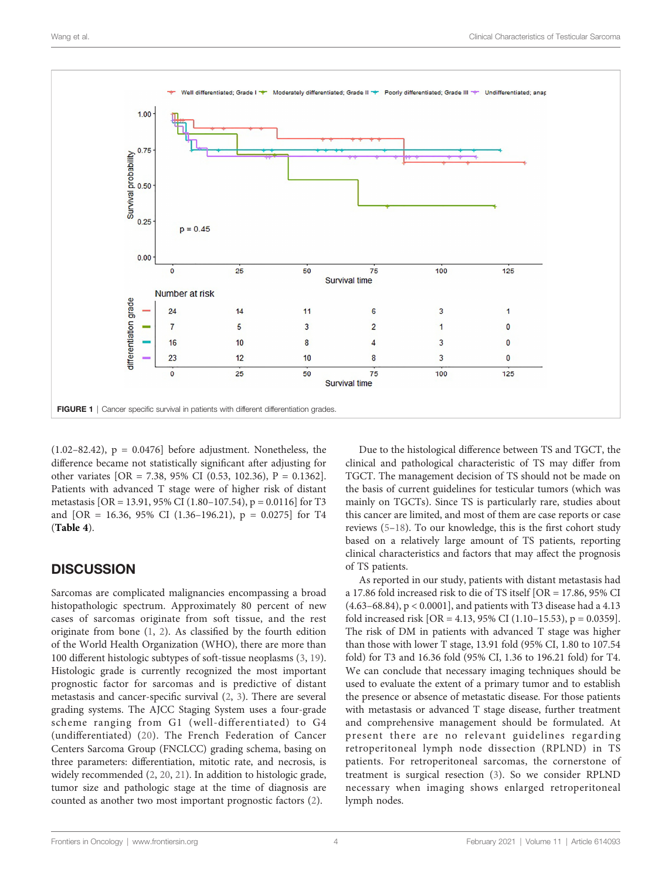<span id="page-3-0"></span>

 $(1.02-82.42)$ ,  $p = 0.0476$ ] before adjustment. Nonetheless, the difference became not statistically significant after adjusting for other variates [OR = 7.38, 95% CI (0.53, 102.36), P = 0.1362]. Patients with advanced T stage were of higher risk of distant metastasis [OR = 13.91, 95% CI (1.80–107.54), p = 0.0116] for T3 and [OR = 16.36, 95% CI (1.36-196.21),  $p = 0.0275$ ] for T4 ([Table 4](#page-5-0)).

# **DISCUSSION**

Sarcomas are complicated malignancies encompassing a broad histopathologic spectrum. Approximately 80 percent of new cases of sarcomas originate from soft tissue, and the rest originate from bone ([1](#page-5-0), [2\)](#page-5-0). As classified by the fourth edition of the World Health Organization (WHO), there are more than 100 different histologic subtypes of soft-tissue neoplasms ([3](#page-5-0), [19\)](#page-6-0). Histologic grade is currently recognized the most important prognostic factor for sarcomas and is predictive of distant metastasis and cancer-specific survival ([2](#page-5-0), [3](#page-5-0)). There are several grading systems. The AJCC Staging System uses a four-grade scheme ranging from G1 (well-differentiated) to G4 (undifferentiated) [\(20\)](#page-6-0). The French Federation of Cancer Centers Sarcoma Group (FNCLCC) grading schema, basing on three parameters: differentiation, mitotic rate, and necrosis, is widely recommended ([2](#page-5-0), [20,](#page-6-0) [21](#page-6-0)). In addition to histologic grade, tumor size and pathologic stage at the time of diagnosis are counted as another two most important prognostic factors ([2](#page-5-0)).

Due to the histological difference between TS and TGCT, the clinical and pathological characteristic of TS may differ from TGCT. The management decision of TS should not be made on the basis of current guidelines for testicular tumors (which was mainly on TGCTs). Since TS is particularly rare, studies about this cancer are limited, and most of them are case reports or case reviews ([5](#page-5-0)–[18](#page-6-0)). To our knowledge, this is the first cohort study based on a relatively large amount of TS patients, reporting clinical characteristics and factors that may affect the prognosis of TS patients.

As reported in our study, patients with distant metastasis had a 17.86 fold increased risk to die of TS itself [OR = 17.86, 95% CI (4.63–68.84), p < 0.0001], and patients with T3 disease had a 4.13 fold increased risk  $[OR = 4.13, 95\% \text{ CI } (1.10-15.53), p = 0.0359]$ . The risk of DM in patients with advanced T stage was higher than those with lower T stage, 13.91 fold (95% CI, 1.80 to 107.54 fold) for T3 and 16.36 fold (95% CI, 1.36 to 196.21 fold) for T4. We can conclude that necessary imaging techniques should be used to evaluate the extent of a primary tumor and to establish the presence or absence of metastatic disease. For those patients with metastasis or advanced T stage disease, further treatment and comprehensive management should be formulated. At present there are no relevant guidelines regarding retroperitoneal lymph node dissection (RPLND) in TS patients. For retroperitoneal sarcomas, the cornerstone of treatment is surgical resection [\(3\)](#page-5-0). So we consider RPLND necessary when imaging shows enlarged retroperitoneal lymph nodes.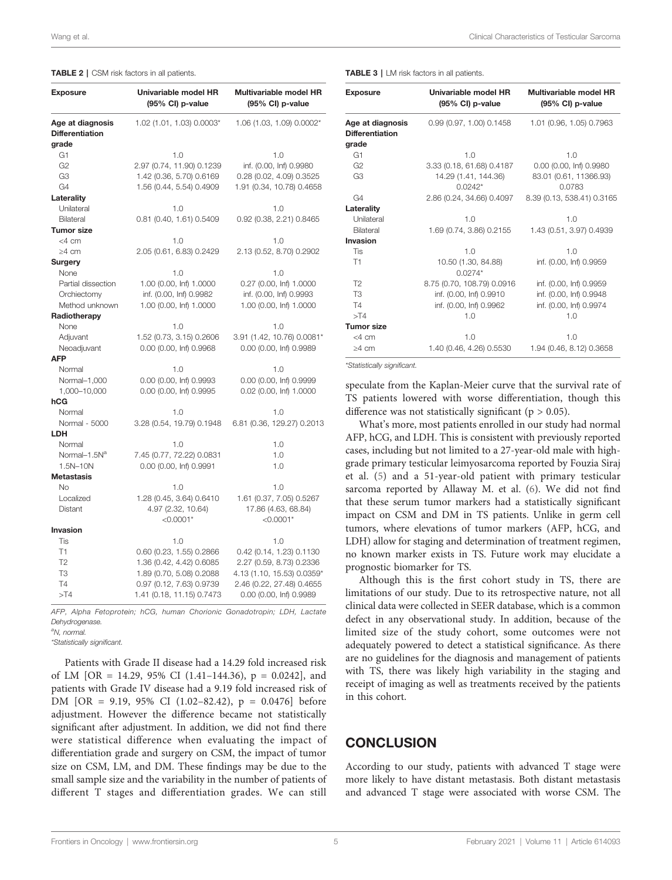#### <span id="page-4-0"></span>TABLE 2 | CSM risk factors in all patients.

| <b>Exposure</b>                            | Univariable model HR<br>(95% CI) p-value | Multivariable model HR<br>(95% CI) p-value |
|--------------------------------------------|------------------------------------------|--------------------------------------------|
| Age at diagnosis<br><b>Differentiation</b> | 1.02 (1.01, 1.03) 0.0003*                | 1.06 (1.03, 1.09) 0.0002*                  |
| grade                                      |                                          |                                            |
| G1                                         | 1.0                                      | 1.0                                        |
| G <sub>2</sub>                             | 2.97 (0.74, 11.90) 0.1239                | inf. (0.00, Inf) 0.9980                    |
| G <sub>3</sub>                             | 1.42 (0.36, 5.70) 0.6169                 | 0.28 (0.02, 4.09) 0.3525                   |
| G4                                         | 1.56 (0.44, 5.54) 0.4909                 | 1.91 (0.34, 10.78) 0.4658                  |
| Laterality                                 |                                          |                                            |
| Unilateral                                 | 1.0                                      | 1.0                                        |
| Bilateral                                  | 0.81 (0.40, 1.61) 0.5409                 | 0.92 (0.38, 2.21) 0.8465                   |
| <b>Tumor size</b>                          |                                          |                                            |
| $<$ 4 cm                                   | 1.0                                      | 1.0                                        |
| $\geq 4$ cm                                | 2.05 (0.61, 6.83) 0.2429                 | 2.13 (0.52, 8.70) 0.2902                   |
| Surgery                                    |                                          |                                            |
| None                                       | 1.0                                      | 1.0                                        |
| Partial dissection                         | 1.00 (0.00, lnf) 1.0000                  | 0.27 (0.00, lnf) 1.0000                    |
| Orchiectomy                                | inf. (0.00, Inf) 0.9982                  | inf. (0.00, Inf) 0.9993                    |
| Method unknown                             | 1.00 (0.00, lnf) 1.0000                  | 1.00 (0.00, lnf) 1.0000                    |
| Radiotherapy                               |                                          |                                            |
| None                                       | 1.0                                      | 1.0                                        |
| Adjuvant                                   | 1.52 (0.73, 3.15) 0.2606                 | 3.91 (1.42, 10.76) 0.0081*                 |
| Neoadjuvant                                | 0.00 (0.00, Inf) 0.9968                  | 0.00 (0.00, Inf) 0.9989                    |
| <b>AFP</b>                                 |                                          |                                            |
| Normal                                     | 1.0                                      | 1.0                                        |
| Normal-1,000                               | 0.00 (0.00, Inf) 0.9993                  | 0.00 (0.00, Inf) 0.9999                    |
| 1,000-10,000                               | 0.00 (0.00, Inf) 0.9995                  | 0.02 (0.00, Inf) 1.0000                    |
| hCG                                        |                                          |                                            |
| Normal                                     | 1.0                                      | 1.0                                        |
| Normal - 5000                              | 3.28 (0.54, 19.79) 0.1948                | 6.81 (0.36, 129.27) 0.2013                 |
| <b>LDH</b>                                 |                                          |                                            |
| Normal                                     | 1.0                                      | 1.0                                        |
| Normal-1.5N <sup>a</sup>                   | 7.45 (0.77, 72.22) 0.0831                | 1.0                                        |
| 1.5N-10N                                   | 0.00 (0.00, Inf) 0.9991                  | 1.0                                        |
| <b>Metastasis</b>                          |                                          |                                            |
| No.                                        | 1.0                                      | 1.0                                        |
| Localized                                  | 1.28 (0.45, 3.64) 0.6410                 | 1.61 (0.37, 7.05) 0.5267                   |
| Distant                                    | 4.97 (2.32, 10.64)                       | 17.86 (4.63, 68.84)                        |
|                                            | $<$ 0.0001*                              | $<$ 0.0001*                                |
| Invasion                                   |                                          |                                            |
| Tis                                        | 1.0                                      | 1.0                                        |
| T1                                         | 0.60 (0.23, 1.55) 0.2866                 | 0.42 (0.14, 1.23) 0.1130                   |
| T <sub>2</sub>                             | 1.36 (0.42, 4.42) 0.6085                 | 2.27 (0.59, 8.73) 0.2336                   |
| T <sub>3</sub>                             | 1.89 (0.70, 5.08) 0.2088                 | 4.13 (1.10, 15.53) 0.0359*                 |
| <b>T4</b>                                  | 0.97 (0.12, 7.63) 0.9739                 | 2.46 (0.22, 27.48) 0.4655                  |
| >174                                       | 1.41 (0.18, 11.15) 0.7473                | 0.00 (0.00, Inf) 0.9989                    |

AFP, Alpha Fetoprotein; hCG, human Chorionic Gonadotropin; LDH, Lactate Dehydrogenase.

\*Statistically significant.

Patients with Grade II disease had a 14.29 fold increased risk of LM  $[OR = 14.29, 95\% \text{ CI } (1.41-144.36), p = 0.0242]$ , and patients with Grade IV disease had a 9.19 fold increased risk of DM [OR = 9.19, 95% CI (1.02–82.42), p = 0.0476] before adjustment. However the difference became not statistically significant after adjustment. In addition, we did not find there were statistical difference when evaluating the impact of differentiation grade and surgery on CSM, the impact of tumor size on CSM, LM, and DM. These findings may be due to the small sample size and the variability in the number of patients of different T stages and differentiation grades. We can still

TABLE 3 | LM risk factors in all patients.

| <b>Exposure</b>                            | Univariable model HR<br>(95% CI) p-value | Multivariable model HR<br>(95% CI) p-value |
|--------------------------------------------|------------------------------------------|--------------------------------------------|
| Age at diagnosis<br><b>Differentiation</b> | 0.99(0.97, 1.00)0.1458                   | 1.01 (0.96, 1.05) 0.7963                   |
| grade                                      |                                          |                                            |
| G1                                         | 1.0                                      | 1.0                                        |
| G2                                         | 3.33 (0.18, 61.68) 0.4187                | 0.00 (0.00, Inf) 0.9980                    |
| G <sub>3</sub>                             | 14.29 (1.41, 144.36)<br>$0.0242*$        | 83.01 (0.61, 11366.93)<br>0.0783           |
| G4                                         | 2.86 (0.24, 34.66) 0.4097                | 8.39 (0.13, 538.41) 0.3165                 |
| Laterality                                 |                                          |                                            |
| Unilateral                                 | 1.0                                      | 1.0                                        |
| Bilateral                                  | 1.69 (0.74, 3.86) 0.2155                 | 1.43 (0.51, 3.97) 0.4939                   |
| Invasion                                   |                                          |                                            |
| <b>Tis</b>                                 | 1.0                                      | 1.0                                        |
| T1                                         | 10.50 (1.30, 84.88)<br>$0.0274*$         | inf. (0.00, Inf) 0.9959                    |
| T <sub>2</sub>                             | 8.75 (0.70, 108.79) 0.0916               | inf. (0.00, Inf) 0.9959                    |
| T3                                         | inf. (0.00, Inf) 0.9910                  | inf. (0.00, Inf) 0.9948                    |
| <b>T4</b>                                  | inf. (0.00, Inf) 0.9962                  | inf. (0.00, Inf) 0.9974                    |
| $>$ T4                                     | 1.0                                      | 1.0                                        |
| <b>Tumor size</b>                          |                                          |                                            |
| $<$ 4 cm                                   | 1.0                                      | 1.0                                        |
| $\geq 4$ cm                                | 1.40 (0.46, 4.26) 0.5530                 | 1.94 (0.46, 8.12) 0.3658                   |

\*Statistically significant.

speculate from the Kaplan-Meier curve that the survival rate of TS patients lowered with worse differentiation, though this difference was not statistically significant ( $p > 0.05$ ).

What's more, most patients enrolled in our study had normal AFP, hCG, and LDH. This is consistent with previously reported cases, including but not limited to a 27-year-old male with highgrade primary testicular leimyosarcoma reported by Fouzia Siraj et al. ([5](#page-5-0)) and a 51-year-old patient with primary testicular sarcoma reported by Allaway M. et al. [\(6\)](#page-5-0). We did not find that these serum tumor markers had a statistically significant impact on CSM and DM in TS patients. Unlike in germ cell tumors, where elevations of tumor markers (AFP, hCG, and LDH) allow for staging and determination of treatment regimen, no known marker exists in TS. Future work may elucidate a prognostic biomarker for TS.

Although this is the first cohort study in TS, there are limitations of our study. Due to its retrospective nature, not all clinical data were collected in SEER database, which is a common defect in any observational study. In addition, because of the limited size of the study cohort, some outcomes were not adequately powered to detect a statistical significance. As there are no guidelines for the diagnosis and management of patients with TS, there was likely high variability in the staging and receipt of imaging as well as treatments received by the patients in this cohort.

### **CONCLUSION**

According to our study, patients with advanced T stage were more likely to have distant metastasis. Both distant metastasis and advanced T stage were associated with worse CSM. The

<sup>&</sup>lt;sup>a</sup>N, normal.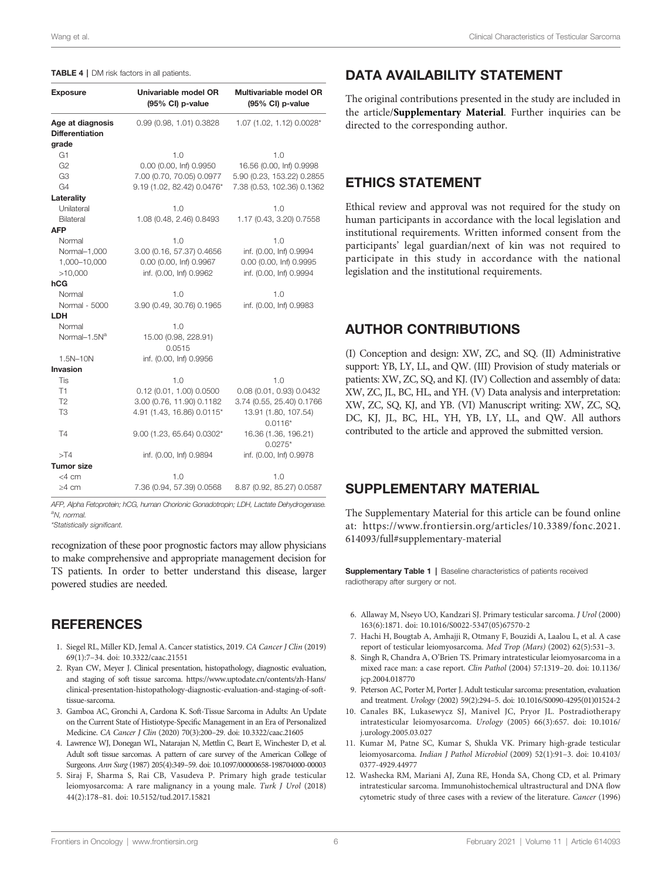#### <span id="page-5-0"></span>TABLE 4 | DM risk factors in all patients.

| <b>Exposure</b>                            | Univariable model OR<br>(95% CI) p-value | Multivariable model OR<br>(95% CI) p-value |
|--------------------------------------------|------------------------------------------|--------------------------------------------|
| Age at diagnosis<br><b>Differentiation</b> | 0.99 (0.98, 1.01) 0.3828                 | 1.07 (1.02, 1.12) 0.0028*                  |
| grade                                      |                                          |                                            |
| G <sub>1</sub>                             | 1.0                                      | 1.0                                        |
| G <sub>2</sub>                             | 0.00 (0.00, Inf) 0.9950                  | 16.56 (0.00, Inf) 0.9998                   |
| G3                                         | 7.00 (0.70, 70.05) 0.0977                | 5.90 (0.23, 153.22) 0.2855                 |
| G4                                         | 9.19 (1.02, 82.42) 0.0476*               | 7.38 (0.53, 102.36) 0.1362                 |
| Laterality                                 |                                          |                                            |
| Unilateral                                 | 1.0                                      | 1.0                                        |
| Bilateral                                  | 1.08 (0.48, 2.46) 0.8493                 | 1.17 (0.43, 3.20) 0.7558                   |
| <b>AFP</b>                                 |                                          |                                            |
| Normal                                     | 1.0                                      | 1.0                                        |
| Normal-1,000                               | 3.00 (0.16, 57.37) 0.4656                | inf. (0.00, Inf) 0.9994                    |
| 1,000-10,000                               | 0.00 (0.00, Inf) 0.9967                  | 0.00 (0.00, Inf) 0.9995                    |
| >10,000                                    | inf. (0.00, Inf) 0.9962                  | inf. (0.00, Inf) 0.9994                    |
| hCG                                        |                                          |                                            |
| Normal                                     | 1.0                                      | 1.0                                        |
| Normal - 5000                              | 3.90 (0.49, 30.76) 0.1965                | inf. (0.00, Inf) 0.9983                    |
| <b>LDH</b>                                 |                                          |                                            |
| Normal                                     | 1.0                                      |                                            |
| Normal-1.5N <sup>a</sup>                   | 15.00 (0.98, 228.91)<br>0.0515           |                                            |
| 1.5N-10N                                   | inf. (0.00, Inf) 0.9956                  |                                            |
| Invasion                                   |                                          |                                            |
| Tis                                        | 1.0                                      | 1.0                                        |
| T1                                         | 0.12(0.01, 1.00)0.0500                   | 0.08 (0.01, 0.93) 0.0432                   |
| T <sub>2</sub>                             | 3.00 (0.76, 11.90) 0.1182                | 3.74 (0.55, 25.40) 0.1766                  |
| T <sub>3</sub>                             | 4.91 (1.43, 16.86) 0.0115*               | 13.91 (1.80, 107.54)<br>$0.0116*$          |
| T4                                         | 9.00 (1.23, 65.64) 0.0302*               | 16.36 (1.36, 196.21)<br>$0.0275*$          |
| $>$ T4                                     | inf. (0.00, Inf) 0.9894                  | inf. (0.00, Inf) 0.9978                    |
| <b>Tumor size</b>                          |                                          |                                            |
| <4 cm                                      | 1.0                                      | 1.0                                        |
| $\geq$ 4 cm                                | 7.36 (0.94, 57.39) 0.0568                | 8.87 (0.92, 85.27) 0.0587                  |

AFP, Alpha Fetoprotein; hCG, human Chorionic Gonadotropin; LDH, Lactate Dehydrogenase. <sup>a</sup>N, normal.

\*Statistically significant.

recognization of these poor prognostic factors may allow physicians to make comprehensive and appropriate management decision for TS patients. In order to better understand this disease, larger powered studies are needed.

### **REFERENCES**

- 1. Siegel RL, Miller KD, Jemal A. Cancer statistics, 2019. CA Cancer J Clin (2019) 69(1):7–34. doi: [10.3322/caac.21551](https://doi.org/10.3322/caac.21551)
- 2. Ryan CW, Meyer J. Clinical presentation, histopathology, diagnostic evaluation, and staging of soft tissue sarcoma. [https://www.uptodate.cn/contents/zh-Hans/](https://www.uptodate.cn/contents/zh-Hans/clinical-presentation-histopathology-diagnostic-evaluation-and-staging-of-soft-tissue-sarcoma) [clinical-presentation-histopathology-diagnostic-evaluation-and-staging-of-soft](https://www.uptodate.cn/contents/zh-Hans/clinical-presentation-histopathology-diagnostic-evaluation-and-staging-of-soft-tissue-sarcoma)[tissue-sarcoma](https://www.uptodate.cn/contents/zh-Hans/clinical-presentation-histopathology-diagnostic-evaluation-and-staging-of-soft-tissue-sarcoma).
- 3. Gamboa AC, Gronchi A, Cardona K. Soft-Tissue Sarcoma in Adults: An Update on the Current State of Histiotype-Specific Management in an Era of Personalized Medicine. CA Cancer J Clin (2020) 70(3):200–29. doi: [10.3322/caac.21605](https://doi.org/10.3322/caac.21605)
- 4. Lawrence WJ, Donegan WL, Natarajan N, Mettlin C, Beart E, Winchester D, et al. Adult soft tissue sarcomas. A pattern of care survey of the American College of Surgeons. Ann Surg (1987) 205(4):349–59. doi: [10.1097/00000658-198704000-00003](https://doi.org/10.1097/00000658-198704000-00003)
- 5. Siraj F, Sharma S, Rai CB, Vasudeva P. Primary high grade testicular leiomyosarcoma: A rare malignancy in a young male. Turk J Urol (2018) 44(2):178–81. doi: [10.5152/tud.2017.15821](https://doi.org/10.5152/tud.2017.15821)

### DATA AVAILABILITY STATEMENT

The original contributions presented in the study are included in the article/Supplementary Material. Further inquiries can be directed to the corresponding author.

# ETHICS STATEMENT

Ethical review and approval was not required for the study on human participants in accordance with the local legislation and institutional requirements. Written informed consent from the participants' legal guardian/next of kin was not required to participate in this study in accordance with the national legislation and the institutional requirements.

### AUTHOR CONTRIBUTIONS

(I) Conception and design: XW, ZC, and SQ. (II) Administrative support: YB, LY, LL, and QW. (III) Provision of study materials or patients: XW, ZC, SQ, and KJ. (IV) Collection and assembly of data: XW, ZC, JL, BC, HL, and YH. (V) Data analysis and interpretation: XW, ZC, SQ, KJ, and YB. (VI) Manuscript writing: XW, ZC, SQ, DC, KJ, JL, BC, HL, YH, YB, LY, LL, and QW. All authors contributed to the article and approved the submitted version.

### SUPPLEMENTARY MATERIAL

The Supplementary Material for this article can be found online at: [https://www.frontiersin.org/articles/10.3389/fonc.2021.](https://www.frontiersin.org/articles/10.3389/fonc.2021.614093/full#supplementary-material) [614093/full#supplementary-material](https://www.frontiersin.org/articles/10.3389/fonc.2021.614093/full#supplementary-material)

Supplementary Table 1 | Baseline characteristics of patients received radiotherapy after surgery or not.

- 6. Allaway M, Nseyo UO, Kandzari SJ. Primary testicular sarcoma. J Urol (2000) 163(6):1871. doi: [10.1016/S0022-5347\(05\)67570-2](https://doi.org/10.1016/S0022-5347(05)67570-2)
- 7. Hachi H, Bougtab A, Amhajji R, Otmany F, Bouzidi A, Laalou L, et al. A case report of testicular leiomyosarcoma. Med Trop (Mars) (2002) 62(5):531–3.
- 8. Singh R, Chandra A, O'Brien TS. Primary intratesticular leiomyosarcoma in a mixed race man: a case report. Clin Pathol (2004) 57:1319–20. doi: [10.1136/](https://doi.org/10.1136/jcp.2004.018770) [jcp.2004.018770](https://doi.org/10.1136/jcp.2004.018770)
- 9. Peterson AC, Porter M, Porter J. Adult testicular sarcoma: presentation, evaluation and treatment. Urology (2002) 59(2):294–5. doi: [10.1016/S0090-4295\(01\)01524-2](https://doi.org/10.1016/S0090-4295(01)01524-2)
- 10. Canales BK, Lukasewycz SJ, Manivel JC, Pryor JL. Postradiotherapy intratesticular leiomyosarcoma. Urology (2005) 66(3):657. doi: [10.1016/](https://doi.org/10.1016/j.urology.2005.03.027) [j.urology.2005.03.027](https://doi.org/10.1016/j.urology.2005.03.027)
- 11. Kumar M, Patne SC, Kumar S, Shukla VK. Primary high-grade testicular leiomyosarcoma. Indian J Pathol Microbiol (2009) 52(1):91–3. doi: [10.4103/](https://doi.org/10.4103/0377-4929.44977) [0377-4929.44977](https://doi.org/10.4103/0377-4929.44977)
- 12. Washecka RM, Mariani AJ, Zuna RE, Honda SA, Chong CD, et al. Primary intratesticular sarcoma. Immunohistochemical ultrastructural and DNA flow cytometric study of three cases with a review of the literature. Cancer (1996)